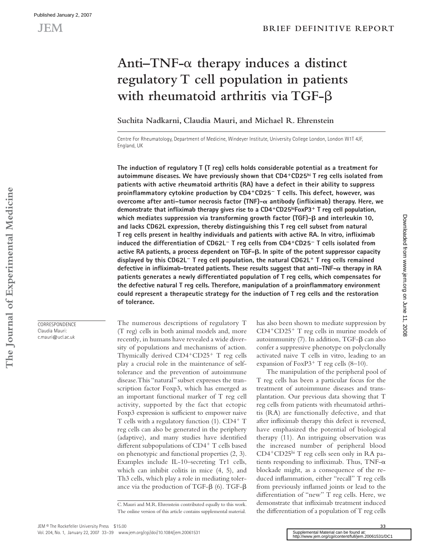# **Anti–TNF-**α **therapy induces a distinct regulatory T cell population in patients with rheumatoid arthritis via TGF-**β

**Suchita Nadkarni, Claudia Mauri, and Michael R. Ehrenstein**

Centre For Rheumatology, Department of Medicine, Windeyer Institute, University College London, London W1T 4JF, England, UK

**The induction of regulatory T (T reg) cells holds considerable potential as a treatment for autoimmune diseases. We have previously shown that CD4**<sup>+</sup>**CD25hi T reg cells isolated from patients with active rheumatoid arthritis (RA) have a defect in their ability to suppress proinfl ammatory cytokine production by CD4**<sup>+</sup>**CD25**<sup>−</sup> **T cells. This defect, however, was overcome after anti–tumor necrosis factor (TNF)-α antibody (infliximab) therapy. Here, we demonstrate that infl iximab therapy gives rise to a CD4**<sup>+</sup>**CD25hiFoxP3**<sup>+</sup> **T reg cell population, which mediates suppression via transforming growth factor (TGF)- and interleukin 10, and lacks CD62L expression, thereby distinguishing this T reg cell subset from natural**  T reg cells present in healthy individuals and patients with active RA. In vitro, infliximab **induced the differentiation of CD62L**<sup>−</sup> **T reg cells from CD4**<sup>+</sup>**CD25**<sup>−</sup> **T cells isolated from active RA patients, a process dependent on TGF-. In spite of the potent suppressor capacity displayed by this CD62L**<sup>−</sup> **T reg cell population, the natural CD62L**<sup>+</sup> **T reg cells remained defective in infl iximab-treated patients. These results suggest that anti–TNF- therapy in RA patients generates a newly differentiated population of T reg cells, which compensates for**  the defective natural T reg cells. Therefore, manipulation of a proinflammatory environment **could represent a therapeutic strategy for the induction of T reg cells and the restoration of tolerance.**

The numerous descriptions of regulatory T (T reg) cells in both animal models and, more recently, in humans have revealed a wide diversity of populations and mechanisms of action. Thymically derived  $CD4+CD25+$  T reg cells play a crucial role in the maintenance of selftolerance and the prevention of autoimmune disease. This "natural" subset expresses the transcription factor Foxp3, which has emerged as an important functional marker of T reg cell activity, supported by the fact that ectopic Foxp3 expression is sufficient to empower naive T cells with a regulatory function (1). CD4<sup>+</sup> T reg cells can also be generated in the periphery (adaptive), and many studies have identified different subpopulations of CD4<sup>+</sup> T cells based on phenotypic and functional properties (2, 3). Examples include IL-10–secreting Tr1 cells, which can inhibit colitis in mice (4, 5), and Th3 cells, which play a role in mediating tolerance via the production of TGF- $β$  (6). TGF- $β$  has also been shown to mediate suppression by CD4<sup>+</sup>CD25<sup>+</sup> T reg cells in murine models of autoimmunity (7). In addition, TGF-β can also confer a suppressive phenotype on polyclonally activated naive T cells in vitro, leading to an expansion of FoxP3<sup>+</sup> T reg cells  $(8-10)$ .

The manipulation of the peripheral pool of T reg cells has been a particular focus for the treatment of autoimmune diseases and transplantation. Our previous data showing that T reg cells from patients with rheumatoid arthritis (RA) are functionally defective, and that after infliximab therapy this defect is reversed, have emphasized the potential of biological therapy (11). An intriguing observation was the increased number of peripheral blood CD4<sup>+</sup>CD25hi T reg cells seen only in RA patients responding to infliximab. Thus, TNF- $\alpha$ blockade might, as a consequence of the reduced inflammation, either "recall" T reg cells from previously inflamed joints or lead to the differentiation of "new" T reg cells. Here, we demonstrate that infliximab treatment induced the differentiation of a population of  $T$  reg cells

**CORRESPONDENCE** Claudia Mauri: c.mauri@ucl.ac.uk

**33**

Downloadedfrom [www.jem.org](http://www.jem.org) on June 11, 2008

Downloaded from www.jem.org on June 11, 2008

C. Mauri and M.R. Ehrenstein contributed equally to this work. The online version of this article contains supplemental material.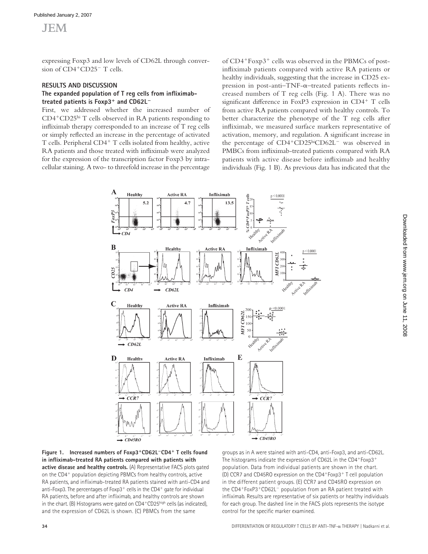expressing Foxp3 and low levels of CD62L through conversion of CD4<sup>+</sup>CD25<sup>−</sup> T cells.

### **RESULTS AND DISCUSSION**

#### The expanded population of T reg cells from infliximab**treated patients is Foxp3**<sup>+</sup> **and CD62L**<sup>−</sup>

First, we addressed whether the increased number of CD4<sup>+</sup>CD25hi T cells observed in RA patients responding to infliximab therapy corresponded to an increase of T reg cells or simply reflected an increase in the percentage of activated T cells. Peripheral CD4<sup>+</sup> T cells isolated from healthy, active RA patients and those treated with infliximab were analyzed for the expression of the transcription factor Foxp3 by intracellular staining. A two- to threefold increase in the percentage

of CD4<sup>+</sup>Foxp3<sup>+</sup> cells was observed in the PBMCs of postinfliximab patients compared with active RA patients or healthy individuals, suggesting that the increase in CD25 expression in post-anti-TNF- $\alpha$ -treated patients reflects increased numbers of T reg cells (Fig. 1 A). There was no significant difference in FoxP3 expression in  $CD4^+$  T cells from active RA patients compared with healthy controls. To better characterize the phenotype of the T reg cells after infliximab, we measured surface markers representative of activation, memory, and regulation. A significant increase in the percentage of CD4<sup>+</sup>CD25hiCD62L<sup>−</sup> was observed in PMBCs from infliximab-treated patients compared with RA patients with active disease before infliximab and healthy individuals (Fig. 1 B). As previous data has indicated that the





groups as in A were stained with anti-CD4, anti-Foxp3, and anti-CD62L. The histograms indicate the expression of CD62L in the CD4+Foxp3+ population. Data from individual patients are shown in the chart. (D) CCR7 and CD45RO expression on the CD4<sup>+</sup>Foxp3<sup>+</sup> T cell population in the different patient groups. (E) CCR7 and CD45RO expression on the CD4<sup>+</sup>FoxP3<sup>+</sup>CD62L<sup>−</sup> population from an RA patient treated with infliximab. Results are representative of six patients or healthy individuals for each group. The dashed line in the FACS plots represents the isotype control for the specific marker examined.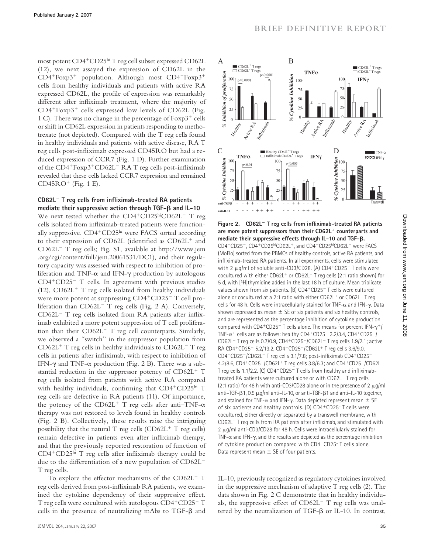most potent CD4<sup>+</sup>CD25hi T reg cell subset expressed CD62L (12), we next assayed the expression of CD62L in the CD4<sup>+</sup>Foxp3<sup>+</sup> population. Although most CD4<sup>+</sup>Foxp3<sup>+</sup> cells from healthy individuals and patients with active RA expressed CD62L, the profile of expression was remarkably different after infliximab treatment, where the majority of  $CD4+Forp3+ cells expressed low levels of CD62L (Fig.$ 1 C). There was no change in the percentage of Foxp3<sup>+</sup> cells or shift in CD62L expression in patients responding to methotrexate (not depicted). Compared with the T reg cells found in healthy individuals and patients with active disease, RA T reg cells post-infliximab expressed CD45RO but had a reduced expression of CCR7 (Fig. 1 D). Further examination of the CD4<sup>+</sup>Foxp3<sup>+</sup>CD62L<sup>-</sup> RA T reg cells post-infliximab revealed that these cells lacked CCR7 expression and remained  $CD45RO<sup>+</sup>$  (Fig. 1 E).

#### **CD62L**<sup>−</sup> **T reg cells from infl iximab-treated RA patients mediate their suppressive action through TGF- and IL-10**

We next tested whether the CD4<sup>+</sup>CD25hiCD62L<sup>−</sup> T reg cells isolated from infliximab-treated patients were functionally suppressive. CD4<sup>+</sup>CD25hi were FACS sorted according to their expression of CD62L (identified as  $CD62L<sup>+</sup>$  and CD62L<sup>−</sup> T reg cells; Fig. S1, available at http://www.jem .org/cgi/content/full/jem.20061531/DC1), and their regulatory capacity was assessed with respect to inhibition of proliferation and TNF-α and IFN-γ production by autologous CD4<sup>+</sup>CD25<sup>−</sup> T cells. In agreement with previous studies (12),  $CD62L<sup>+</sup>$  T reg cells isolated from healthy individuals were more potent at suppressing CD4<sup>+</sup>CD25<sup>−</sup> T cell proliferation than CD62L<sup>−</sup> T reg cells (Fig. 2 A). Conversely, CD62L<sup>-</sup> T reg cells isolated from RA patients after infliximab exhibited a more potent suppression of T cell proliferation than their CD62L<sup>+</sup> T reg cell counterparts. Similarly, we observed a "switch" in the suppressor population from CD62L<sup>+</sup> T reg cells in healthy individuals to CD62L<sup>−</sup> T reg cells in patients after infliximab, with respect to inhibition of IFN- $\gamma$  and TNF- $\alpha$  production (Fig. 2 B). There was a substantial reduction in the suppressor potency of CD62L<sup>+</sup> T reg cells isolated from patients with active RA compared with healthy individuals, confirming that CD4+CD25hi T reg cells are defective in RA patients (11). Of importance, the potency of the CD62L<sup>+</sup> T reg cells after anti-TNF- $\alpha$ therapy was not restored to levels found in healthy controls (Fig. 2 B). Collectively, these results raise the intriguing possibility that the natural T reg cells  $(CD62L^{+}T$  reg cells) remain defective in patients even after infliximab therapy, and that the previously reported restoration of function of CD4<sup>+</sup>CD25<sup>hi</sup> T reg cells after infliximab therapy could be due to the differentiation of a new population of CD62L<sup>−</sup> T reg cells.

To explore the effector mechanisms of the CD62L<sup>-</sup> T reg cells derived from post-infliximab RA patients, we examined the cytokine dependency of their suppressive effect. T reg cells were cocultured with autologous CD4<sup>+</sup>CD25<sup>−</sup> T cells in the presence of neutralizing mAbs to TGF-β and



**Figure 2. CD62L**<sup>−</sup> **T reg cells from infl iximab-treated RA patients are more potent suppressors than their CD62L**<sup>+</sup> **counterparts and mediate their suppressive effects through IL-10 and TGF-.**  CD4<sup>+</sup>CD25<sup>−</sup>, CD4<sup>+</sup>CD25hiCD62L<sup>+</sup>, and CD4<sup>+</sup>CD25hiCD62L<sup>−</sup> were FACS (MoFlo) sorted from the PBMCs of healthy controls, active RA patients, and infliximab-treated RA patients. In all experiments, cells were stimulated with 2 μg/ml of soluble anti-CD3/CD28. (A) CD4+CD25− T cells were cocultured with either CD62L<sup>+</sup> or CD62L<sup>−</sup> T reg cells (2:1 ratio shown) for 5 d, with [3H]thymidine added in the last 18 h of culture. Mean triplicate values shown from six patients. (B) CD4<sup>+</sup>CD25<sup>−</sup> T cells were cultured alone or cocultured at a 2:1 ratio with either CD62L<sup>+</sup> or CD62L<sup>−</sup> T reg cells for 48 h. Cells were intracellularly stained for TNF-α and IFN-γ. Data shown expressed as mean  $\pm$  SE of six patients and six healthy controls, and are represented as the percentage inhibition of cytokine production compared with CD4+CD25<sup>-</sup> T cells alone. The means for percent IFN-γ<sup>+</sup>/ TNF-α+ cells are as follows: healthy CD4<sup>+</sup>CD25<sup>−</sup> 3.2/3.4, CD4<sup>+</sup>CD25<sup>−</sup>/ CD62L<sup>+</sup> T reg cells 0.7/0.9, CD4<sup>+</sup>CD25<sup>−</sup>/CD62L<sup>−</sup> T reg cells 1.9/2.1; active RA CD4<sup>+</sup>CD25<sup>−</sup> 5.2/13.2, CD4<sup>+</sup>CD25<sup>−</sup>/CD62L<sup>+</sup> T reg cells 3.6/9.0, CD4+CD25−/CD62L− T reg cells 3.1/7.8; post-infliximab CD4+CD25− 4.2/8.6, CD4<sup>+</sup>CD25<sup>−</sup>/CD62L<sup>+</sup> T reg cells 3.8/6.3; and CD4<sup>+</sup>CD25<sup>−</sup>/CD62L<sup>−</sup> T reg cells 1.1/2.2. (C) CD4+CD25<sup>-</sup> T cells from healthy and infliximabtreated RA patients were cultured alone or with CD62L<sup>−</sup> T reg cells (2:1 ratio) for 48 h with anti-CD3/CD28 alone or in the presence of 2  $\mu$ g/ml anti–TGF-β1, 0.5 μg/ml anti–IL-10, or anti–TGF-β1 and anti–IL-10 together, and stained for TNF- $\alpha$  and IFN- $\gamma$ . Data depicted represent mean  $\pm$  SE of six patients and healthy controls. (D) CD4<sup>+</sup>CD25– T cells were cocultured, either directly or separated by a transwell membrane, with CD62L<sup>-</sup> T reg cells from RA patients after infliximab, and stimulated with 2 μg/ml anti-CD3/CD28 for 48 h. Cells were intracellularly stained for TNF- $\alpha$  and IFN- $\gamma$ , and the results are depicted as the percentage inhibition of cytokine production compared with CD4<sup>+</sup>CD25– T cells alone. Data represent mean  $\pm$  SE of four patients.

IL-10, previously recognized as regulatory cytokines involved in the suppressive mechanism of adaptive T reg cells (2). The data shown in Fig. 2 C demonstrate that in healthy individuals, the suppressive effect of CD62L<sup>-</sup> T reg cells was unaltered by the neutralization of TGF-β or IL-10. In contrast,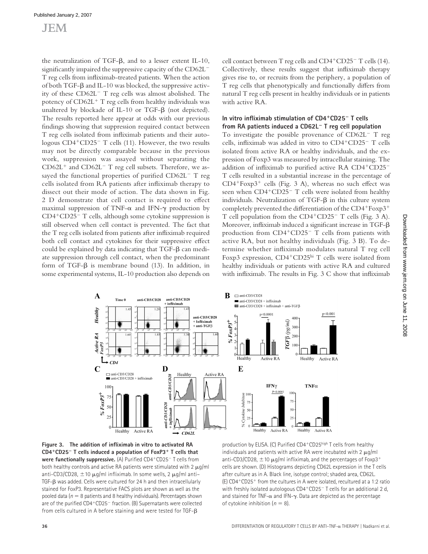## JEM

the neutralization of TGF-β, and to a lesser extent IL-10, significantly impaired the suppressive capacity of the CD62L<sup>−</sup> T reg cells from infliximab-treated patients. When the action of both TGF-β and IL-10 was blocked, the suppressive activity of these CD62L<sup>−</sup> T reg cells was almost abolished. The potency of CD62L<sup>+</sup> T reg cells from healthy individuals was unaltered by blockade of IL-10 or TGF-β (not depicted). The results reported here appear at odds with our previous findings showing that suppression required contact between T reg cells isolated from infliximab patients and their autologous CD4<sup>+</sup>CD25<sup>−</sup> T cells (11). However, the two results may not be directly comparable because in the previous work, suppression was assayed without separating the CD62L<sup>+</sup> and CD62L<sup>−</sup> T reg cell subsets. Therefore, we assayed the functional properties of purified CD62L<sup>−</sup> T reg cells isolated from RA patients after infliximab therapy to dissect out their mode of action. The data shown in Fig. 2 D demonstrate that cell contact is required to effect maximal suppression of TNF- $\alpha$  and IFN- $\gamma$  production by CD4<sup>+</sup>CD25<sup>−</sup> T cells, although some cytokine suppression is still observed when cell contact is prevented. The fact that the T reg cells isolated from patients after infliximab required both cell contact and cytokines for their suppressive effect could be explained by data indicating that TGF-β can mediate suppression through cell contact, when the predominant form of TGF-β is membrane bound (13). In addition, in some experimental systems, IL-10 production also depends on

cell contact between T reg cells and CD4<sup>+</sup>CD25<sup>−</sup> T cells (14). Collectively, these results suggest that infliximab therapy gives rise to, or recruits from the periphery, a population of T reg cells that phenotypically and functionally differs from natural T reg cells present in healthy individuals or in patients with active RA.

#### **In vitro infl iximab stimulation of CD4**<sup>+</sup>**CD25**<sup>−</sup> **T cells from RA patients induced a CD62L**<sup>−</sup> **T reg cell population**

To investigate the possible provenance of CD62L<sup>−</sup> T reg cells, infliximab was added in vitro to CD4+CD25<sup>−</sup> T cells isolated from active RA or healthy individuals, and the expression of Foxp3 was measured by intracellular staining. The addition of infliximab to purified active RA CD4+CD25<sup>-</sup> T cells resulted in a substantial increase in the percentage of  $CD4+Forp3+ cells$  (Fig. 3 A), whereas no such effect was seen when CD4<sup>+</sup>CD25<sup>−</sup> T cells were isolated from healthy individuals. Neutralization of TGF-β in this culture system completely prevented the differentiation of the  $CD4+F\exp 3+$ T cell population from the CD4<sup>+</sup>CD25<sup>−</sup> T cells (Fig. 3 A). Moreover, infliximab induced a significant increase in  $TGF-\beta$ production from CD4<sup>+</sup>CD25<sup>−</sup> T cells from patients with active RA, but not healthy individuals (Fig. 3 B). To determine whether infliximab modulates natural T reg cell Foxp3 expression, CD4<sup>+</sup>CD25hi T cells were isolated from healthy individuals or patients with active RA and cultured with infliximab. The results in Fig.  $3 \text{ C}$  show that infliximab



Figure 3. The addition of infliximab in vitro to activated RA **CD4**<sup>+</sup>**CD25**<sup>−</sup> **T cells induced a population of FoxP3**<sup>+</sup> **T cells that were functionally suppressive.** (A) Purified CD4+CD25<sup>−</sup> T cells from both healthy controls and active RA patients were stimulated with 2  $\mu$ g/ml anti-CD3/CD28,  $\pm$ 10  $\mu$ g/ml infliximab. In some wells, 2  $\mu$ g/ml anti- TGF-β was added. Cells were cultured for 24 h and then intracellularly stained for FoxP3. Representative FACS plots are shown as well as the pooled data ( $n = 8$  patients and 8 healthy individuals). Percentages shown are of the purified CD4+CD25<sup>−</sup> fraction. (B) Supernatants were collected from cells cultured in A before staining and were tested for TGF-β

production by ELISA. (C) Purified CD4+CD25high T cells from healthy individuals and patients with active RA were incubated with 2  $\mu$ g/ml anti-CD3/CD28,  $\pm$ 10  $\mu$ g/ml infliximab, and the percentages of Foxp3<sup>+</sup> cells are shown. (D) Histograms depicting CD62L expression in the T cells after culture as in A. Black line, isotype control; shaded area, CD62L. (E) CD4<sup>+</sup>CD25<sup>+</sup> from the cultures in A were isolated, recultured at a 1:2 ratio with freshly isolated autologous CD4+CD25<sup>-</sup> T cells for an additional 2 d, and stained for TNF- $\alpha$  and IFN- $\gamma$ . Data are depicted as the percentage of cytokine inhibition ( $n = 8$ ).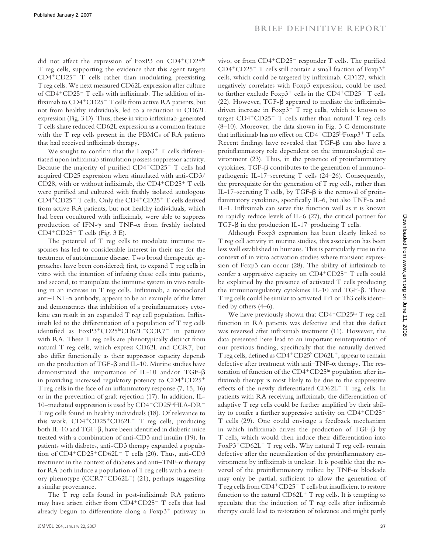did not affect the expression of FoxP3 on CD4+CD25hi T reg cells, supporting the evidence that this agent targets CD4<sup>+</sup>CD25<sup>−</sup> T cells rather than modulating preexisting T reg cells. We next measured CD62L expression after culture of CD4<sup>+</sup>CD25<sup>−</sup> T cells with infliximab. The addition of infliximab to CD4<sup>+</sup>CD25<sup>−</sup> T cells from active RA patients, but not from healthy individuals, led to a reduction in CD62L expression (Fig. 3 D). Thus, these in vitro infliximab-generated T cells share reduced CD62L expression as a common feature with the T reg cells present in the PBMCs of RA patients that had received infliximab therapy.

We sought to confirm that the  $F\exp 3^+$  T cells differentiated upon infliximab stimulation possess suppressor activity. Because the majority of purified CD4<sup>+</sup>CD25<sup>−</sup> T cells had acquired CD25 expression when stimulated with anti-CD3/ CD28, with or without infliximab, the  $CD4+CD25+T$  cells were purified and cultured with freshly isolated autologous CD4<sup>+</sup>CD25<sup>−</sup> T cells. Only the CD4<sup>+</sup>CD25<sup>+</sup> T cells derived from active RA patients, but not healthy individuals, which had been cocultured with infliximab, were able to suppress production of IFN-γ and TNF-α from freshly isolated CD4<sup>+</sup>CD25<sup> $-$ </sup> T cells (Fig. 3 E).

The potential of T reg cells to modulate immune responses has led to considerable interest in their use for the treatment of autoimmune disease. Two broad therapeutic approaches have been considered; first, to expand T reg cells in vitro with the intention of infusing these cells into patients, and second, to manipulate the immune system in vivo resulting in an increase in  $T$  reg cells. Infliximab, a monoclonal anti– $TNF-\alpha$  antibody, appears to be an example of the latter and demonstrates that inhibition of a proinflammatory cytokine can result in an expanded T reg cell population. Infliximab led to the differentiation of a population of  $T$  reg cells identified as FoxP3<sup>+</sup>CD25hiCD62L<sup>-</sup>CCR7<sup>-</sup> in patients with RA. These T reg cells are phenotypically distinct from natural T reg cells, which express CD62L and CCR7, but also differ functionally as their suppressor capacity depends on the production of TGF-β and IL-10. Murine studies have demonstrated the importance of IL-10 and/or TGF-β in providing increased regulatory potency to CD4<sup>+</sup>CD25<sup>+</sup> T reg cells in the face of an inflammatory response  $(7, 15, 16)$ or in the prevention of graft rejection (17). In addition, IL-10–mediated suppression is used by CD4<sup>+</sup>CD25hiHLA-DR<sup>−</sup> T reg cells found in healthy individuals (18). Of relevance to this work, CD4<sup>+</sup>CD25<sup>+</sup>CD62L<sup>−</sup> T reg cells, producing both IL-10 and TGF- $β$ , have been identified in diabetic mice treated with a combination of anti-CD3 and insulin (19). In patients with diabetes, anti-CD3 therapy expanded a population of CD4<sup>+</sup>CD25<sup>+</sup>CD62L<sup>−</sup> T cells (20). Thus, anti-CD3 treatment in the context of diabetes and anti–TNF-α therapy for RA both induce a population of T reg cells with a memory phenotype (CCR7<sup>−</sup>CD62L<sup>−</sup>) (21), perhaps suggesting a similar provenance.

The T reg cells found in post-infliximab RA patients may have arisen either from CD4<sup>+</sup>CD25<sup>−</sup> T cells that had already begun to differentiate along a  $F\exp(3^+)$  pathway in vivo, or from CD4<sup>+</sup>CD25<sup>−</sup> responder T cells. The purified CD4<sup>+</sup>CD25<sup>−</sup> T cells still contain a small fraction of Foxp3<sup>+</sup> cells, which could be targeted by infliximab. CD127, which negatively correlates with Foxp3 expression, could be used to further exclude Foxp3<sup>+</sup> cells in the CD4<sup>+</sup>CD25<sup>−</sup> T cells (22). However, TGF- $\beta$  appeared to mediate the infliximabdriven increase in Foxp $3^+$  T reg cells, which is known to target CD4<sup>+</sup>CD25<sup>−</sup> T cells rather than natural T reg cells (8–10). Moreover, the data shown in Fig. 3 C demonstrate that infliximab has no effect on  $CD4^+CD25^{\text{hi}}F\text{exp3}^+T$  cells. Recent findings have revealed that  $TGF-\beta$  can also have a proinflammatory role dependent on the immunological environment  $(23)$ . Thus, in the presence of proinflammatory cytokines, TGF-β contributes to the generation of immunopathogenic IL-17–secreting T cells (24–26). Consequently, the prerequisite for the generation of T reg cells, rather than IL-17–secreting T cells, by TGF-β is the removal of proinflammatory cytokines, specifically IL-6, but also TNF- $\alpha$  and IL-1. Infliximab can serve this function well as it is known to rapidly reduce levels of IL-6 (27), the critical partner for TGF-β in the production IL-17–producing T cells.

Although Foxp3 expression has been clearly linked to T reg cell activity in murine studies, this association has been less well established in humans. This is particularly true in the context of in vitro activation studies where transient expression of Foxp3 can occur (28). The ability of infliximab to confer a suppressive capacity on CD4<sup>+</sup>CD25<sup>−</sup> T cells could be explained by the presence of activated T cells producing the immunoregulatory cytokines IL-10 and TGF-β. These T reg cells could be similar to activated Tr1 or Th3 cells identified by others  $(4-6)$ .

We have previously shown that  $CD4^+CD25^{\text{hi}}$  T reg cell function in RA patients was defective and that this defect was reversed after infliximab treatment (11). However, the data presented here lead to an important reinterpretation of our previous finding, specifically that the naturally derived T reg cells, defined as  $CD4+CD25$ hiCD62L<sup>+</sup>, appear to remain defective after treatment with anti-TNF- $\alpha$  therapy. The restoration of function of the CD4<sup>+</sup>CD25<sup>hi</sup> population after infliximab therapy is most likely to be due to the suppressive effects of the newly differentiated CD62L<sup>-</sup> T reg cells. In patients with RA receiving infliximab, the differentiation of adaptive T reg cells could be further amplified by their ability to confer a further suppressive activity on CD4<sup>+</sup>CD25<sup>−</sup> T cells (29). One could envisage a feedback mechanism in which infliximab drives the production of  $TGF- $\beta$  by$ T cells, which would then induce their differentiation into FoxP3<sup>+</sup>CD62L<sup>−</sup> T reg cells. Why natural T reg cells remain defective after the neutralization of the proinflammatory environment by infliximab is unclear. It is possible that the reversal of the proinflammatory milieu by TNF- $\alpha$  blockade may only be partial, sufficient to allow the generation of T reg cells from CD4<sup>+</sup>CD25<sup>−</sup> T cells but insufficient to restore function to the natural  $CD62L<sup>+</sup>$  T reg cells. It is tempting to speculate that the induction of  $T$  reg cells after infliximab therapy could lead to restoration of tolerance and might partly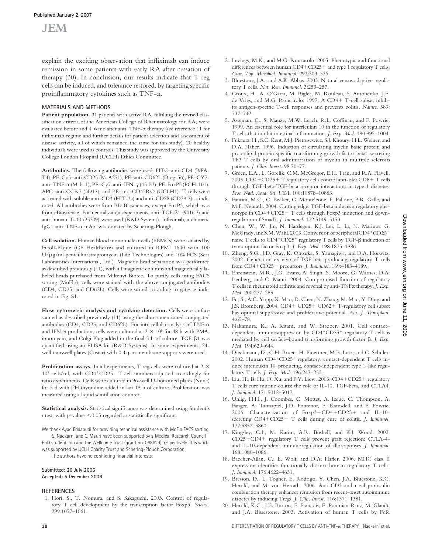## JEM

explain the exciting observation that infliximab can induce remission in some patients with early RA after cessation of therapy (30). In conclusion, our results indicate that T reg cells can be induced, and tolerance restored, by targeting specific proinflammatory cytokines such as TNF- $\alpha$ .

#### **MATERIALS AND METHODS**

Patient population. 31 patients with active RA, fulfilling the revised classification criteria of the American College of Rheumatology for RA, were evaluated before and 4–6 mo after anti–TNF-α therapy (see reference 11 for infliximab regime and further details for patient selection and assessment of disease activity, all of which remained the same for this study). 20 healthy individuals were used as controls. This study was approved by the University College London Hospital (UCLH) Ethics Committee.

**Antibodies.** The following antibodies were used: FITC–anti-CD4 (RPA-T4), PE-Cy5–anti-CD25 (M-A251), PE–anti-CD62L (Dreg-56), PE–CY7 anti–TNF-α (Mab11), PE–Cy7-anti–IFN-γ (45.B3), PE-FoxP3 (PCH-101), APC–anti-CCR7 (3D12), and PE–anti-CD45RO (UCLH1). T cells were activated with soluble anti-CD3 (HIT-3a) and anti-CD28 (CD28.2) as indicated. All antibodies were from BD Biosciences, except FoxP3, which was from eBioscience. For neutralization experiments, anti–TGF-β1 (9016.2) and anti-human IL-10 (25209) were used (R&D Systems). Infliximab, a chimeric IgG1 anti–TNF-α mAb, was donated by Schering-Plough.

**Cell isolation.** Human blood mononuclear cells (PBMCs) were isolated by Ficoll-Paque (GE Healthcare) and cultured in RPMI 1640 with 100 U/μg/ml penicillin/streptomycin (Life Technologies) and 10% FCS (Sera Laboratories International, Ltd.). Magnetic bead separation was performed as described previously (11), with all magnetic columns and magnetically labeled beads purchased from Miltenyi Biotec. To purify cells using FACS sorting (MoFlo), cells were stained with the above conjugated antibodies (CD4, CD25, and CD62L). Cells were sorted according to gates as indicated in Fig. S1.

**Flow cytometric analysis and cytokine detection.** Cells were surface stained as described previously (11) using the above mentioned conjugated antibodies (CD4, CD25, and CD62L). For intracellular analysis of TNF- $\alpha$ and IFN- $\gamma$  production, cells were cultured at 2  $\times$  10<sup>5</sup> for 48 h with PMA, ionomycin, and Golgi Plug added in the final 5 h of culture. TGF-β1 was quantified using an ELISA kit (R&D Systems). In some experiments, 24well transwell plates (Costar) with 0.4-μm membrane supports were used.

**Proliferation assays.** In all experiments, T reg cells were cultured at 2  $\times$ 105 cells/ml, with CD4<sup>+</sup>CD25<sup>−</sup> T cell numbers adjusted accordingly for ratio experiments. Cells were cultured in 96-well U-bottomed plates (Nunc) for 5 d with [3H]thymidine added in last 18 h of culture. Proliferation was measured using a liquid scintillation counter.

Statistical analysis. Statistical significance was determined using Student's  $t$  test, with p-values  $\leq 0.05$  regarded as statistically significant.

We thank Ayad Eddaoudi for providing technical assistance with MoFlo FACS sorting. S. Nadkarni and C. Mauri have been supported by a Medical Research Council

PhD studentship and the Wellcome Trust (grant no. 068629), respectively. This work was supported by UCLH Charity Trust and Schering-Plough Corporation.

The authors have no conflicting financial interests.

#### **Submitted: 20 July 2006 Accepted: 5 December 2006**

#### **REFERENCES**

 1. Hori, S., T. Nomura, and S. Sakaguchi. 2003. Control of regulatory T cell development by the transcription factor Foxp3. *Science*. 299:1057–1061.

- 2. Levings, M.K., and M.G. Roncarolo. 2005. Phenotypic and functional differences between human  $CD4+CD25+$  and type 1 regulatory T cells. *Curr. Top. Microbiol. Immunol.* 293:303–326.
- 3. Bluestone, J.A., and A.K. Abbas. 2003. Natural versus adaptive regulatory T cells. *Nat. Rev. Immunol.* 3:253–257.
- 4. Groux, H., A. O'Garra, M. Bigler, M. Rouleau, S. Antonenko, J.E. de Vries, and M.G. Roncarolo. 1997. A CD4+ T-cell subset inhibits antigen-specific T-cell responses and prevents colitis. *Nature*. 389: 737–742.
- 5. Asseman, C., S. Mauze, M.W. Leach, R.L. Coffman, and F. Powrie. 1999. An essential role for interleukin 10 in the function of regulatory T cells that inhibit intestinal inflammation. *J. Exp. Med.* 190:995-1004.
- 6. Fukaura, H., S.C. Kent, M.J. Pietrusewicz, S.J. Khoury, H.L. Weiner, and D.A. Hafler. 1996. Induction of circulating myelin basic protein and proteolipid protein-specific transforming growth factor-beta1-secreting Th3 T cells by oral administration of myelin in multiple sclerosis patients. *J. Clin. Invest.* 98:70–77.
- Green, E.A., L. Gorelik, C.M. McGregor, E.H. Tran, and R.A. Flavell. 2003. CD4+CD25+ T regulatory cells control anti-islet CD8+ T cells through TGF-beta-TGF-beta receptor interactions in type 1 diabetes. *Proc. Natl. Acad. Sci. USA*. 100:10878–10883.
- 8. Fantini, M.C., C. Becker, G. Monteleone, F. Pallone, P.R. Galle, and M.F. Neurath. 2004. Cutting edge: TGF-beta induces a regulatory phenotype in CD4+CD25− T cells through Foxp3 induction and downregulation of Smad7. *J. Immunol.* 172:5149–5153.
- 9. Chen, W., W. Jin, N. Hardegen, K.J. Lei, L. Li, N. Marinos, G. McGrady, and S.M. Wahl. 2003. Conversion of peripheral CD4<sup>+</sup>CD25<sup>−</sup> naive T cells to  $CD4+CD25+$  regulatory T cells by TGF-β induction of transcription factor Foxp3. *J. Exp. Med.* 198:1875–1886.
- 10. Zheng, S.G., J.D. Gray, K. Ohtsuka, S. Yamagiwa, and D.A. Horwitz. 2002. Generation ex vivo of TGF-beta-producing regulatory T cells from CD4+CD25− precursors. *J. Immunol.* 169:4183–4189.
- 11. Ehrenstein, M.R., J.G. Evans, A. Singh, S. Moore, G. Warnes, D.A. Isenberg, and C. Mauri. 2004. Compromised function of regulatory T cells in rheumatoid arthritis and reversal by anti-TNFα therapy. *J. Exp. Med.* 200:277–285.
- 12. Fu, S., A.C. Yopp, X. Mao, D. Chen, N. Zhang, M. Mao, Y. Ding, and J.S. Bromberg. 2004. CD4+ CD25+ CD62+ T-regulatory cell subset has optimal suppressive and proliferative potential. *Am. J. Transplant.* 4:65–78.
- 13. Nakamura, K., A. Kitani, and W. Strober. 2001. Cell contact– dependent immunosuppression by CD4<sup>+</sup>CD25<sup>+</sup> regulatory T cells is mediated by cell surface–bound transforming growth factor β. *J. Exp. Med.* 194:629–644.
- 14. Dieckmann, D., C.H. Bruett, H. Ploettner, M.B. Lutz, and G. Schuler. 2002. Human CD4<sup>+</sup>CD25<sup>+</sup> regulatory, contact-dependent T cells induce interleukin 10–producing, contact-independent type 1–like regulatory T cells. *J. Exp. Med.* 196:247–253.
- 15. Liu, H., B. Hu, D. Xu, and F.Y. Liew. 2003. CD4+CD25+ regulatory T cells cure murine colitis: the role of IL-10, TGF-beta, and CTLA4. *J. Immunol.* 171:5012–5017.
- 16. Uhlig, H.H., J. Coombes, C. Mottet, A. Izcue, C. Thompson, A. Fanger, A. Tannapfel, J.D. Fontenot, F. Ramsdell, and F. Powrie. 2006. Characterization of Foxp3+CD4+CD25+ and IL-10 secreting CD4+CD25+ T cells during cure of colitis. *J. Immunol.* 177:5852–5860.
- 17. Kingsley, C.I., M. Karim, A.R. Bushell, and K.J. Wood. 2002. CD25+CD4+ regulatory T cells prevent graft rejection: CTLA-4 and IL-10-dependent immunoregulation of alloresponses. *J. Immunol.* 168:1080–1086.
- 18. Baecher-Allan, C., E. Wolf, and D.A. Hafler. 2006. MHC class II expression identifies functionally distinct human regulatory T cells. *J. Immunol.* 176:4622–4631.
- 19. Bresson, D., L. Togher, E. Rodrigo, Y. Chen, J.A. Bluestone, K.C. Herold, and M. von Herrath. 2006. Anti-CD3 and nasal proinsulin combination therapy enhances remission from recent-onset autoimmune diabetes by inducing Tregs. *J. Clin. Invest.* 116:1371–1381.
- 20. Herold, K.C., J.B. Burton, F. Francois, E. Poumian-Ruiz, M. Glandt, and J.A. Bluestone. 2003. Activation of human T cells by FcR